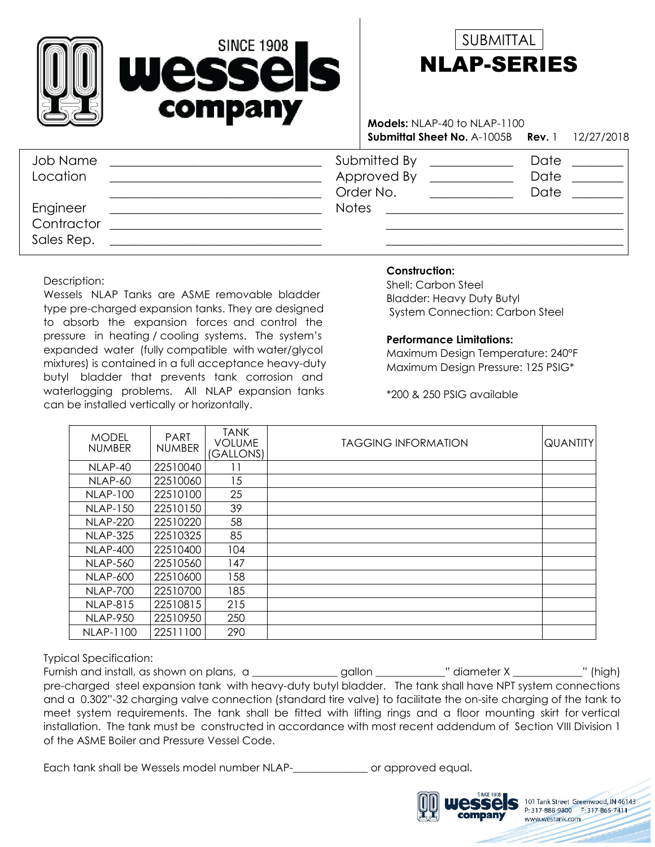



**Submittal Sheet No.** A-1005B 1 12/27/2018 **Rev. Models:** NLAP-40 to NLAP-1100

| Job Name<br>Location                 | Submitted By<br>Approved By<br>Order No. | Date<br>Date<br>Date |
|--------------------------------------|------------------------------------------|----------------------|
| Engineer<br>Contractor<br>Sales Rep. | <b>Notes</b>                             |                      |

Description:

Wessels NLAP Tanks are ASME removable bladder type pre-charged expansion tanks. They are designed to absorb the expansion forces and control the pressure in heating / cooling systems. The system's expanded water (fully compatible with water/glycol mixtures) is contained in a full acceptance heavy-duty butyl bladder that prevents tank corrosion and waterlogging problems. All NLAP expansion tanks can be installed vertically or horizontally.

## **Construction:**

Bladder: Heavy Duty Butyl System Connection: Carbon Steel Shell: Carbon Steel

## **Performance Limitations:**

Maximum Design Temperature: 240°F Maximum Design Pressure: 125 PSIG\*

\*200 & 250 PSIG available

| <b>MODEL</b><br><b>NUMBER</b> | <b>PART</b><br><b>NUMBER</b> | <b>TANK</b><br><b>VOLUME</b><br>(GALLONS) | <b>TAGGING INFORMATION</b> | <b>QUANTITY</b> |
|-------------------------------|------------------------------|-------------------------------------------|----------------------------|-----------------|
| NLAP-40                       | 22510040                     |                                           |                            |                 |
| NLAP-60                       | 22510060                     | 15                                        |                            |                 |
| <b>NLAP-100</b>               | 22510100                     | 25                                        |                            |                 |
| <b>NLAP-150</b>               | 22510150                     | 39                                        |                            |                 |
| <b>NLAP-220</b>               | 22510220                     | 58                                        |                            |                 |
| <b>NLAP-325</b>               | 22510325                     | 85                                        |                            |                 |
| <b>NLAP-400</b>               | 22510400                     | 104                                       |                            |                 |
| <b>NLAP-560</b>               | 22510560                     | 147                                       |                            |                 |
| <b>NLAP-600</b>               | 22510600                     | 158                                       |                            |                 |
| <b>NLAP-700</b>               | 22510700                     | 185                                       |                            |                 |
| <b>NLAP-815</b>               | 22510815                     | 215                                       |                            |                 |
| <b>NLAP-950</b>               | 22510950                     | 250                                       |                            |                 |
| <b>NLAP-1100</b>              | 22511100                     | 290                                       |                            |                 |

Typical Specification:

Furnish and install, as shown on plans, a \_\_\_\_\_\_\_\_\_\_\_\_\_\_ gallon \_\_\_\_\_\_\_\_\_\_\_" diameter X \_\_\_\_\_\_\_\_\_\_\_" (high) pre-charged steel expansion tank with heavy-duty butyl bladder. The tank shall have NPT system connections and a 0.302"-32 charging valve connection (standard tire valve) to facilitate the on-site charging of the tank to meet system requirements. The tank shall be fitted with lifting rings and a floor mounting skirt for vertical installation. The tank must be constructed in accordance with most recent addendum of Section VIII Division 1 of the ASME Boiler and Pressure Vessel Code.

Each tank shall be Wessels model number NLAP-\_\_\_\_\_\_\_\_\_\_\_\_\_\_ or approved equal.